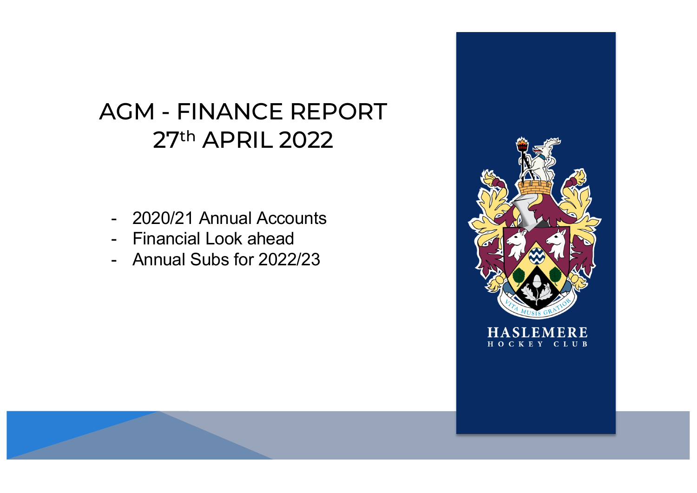# AGM - FINANCE REPORT 27th APRIL 2022

- 2020/21 Annual Accounts
- Financial Look ahead
- Annual Subs for 2022/23

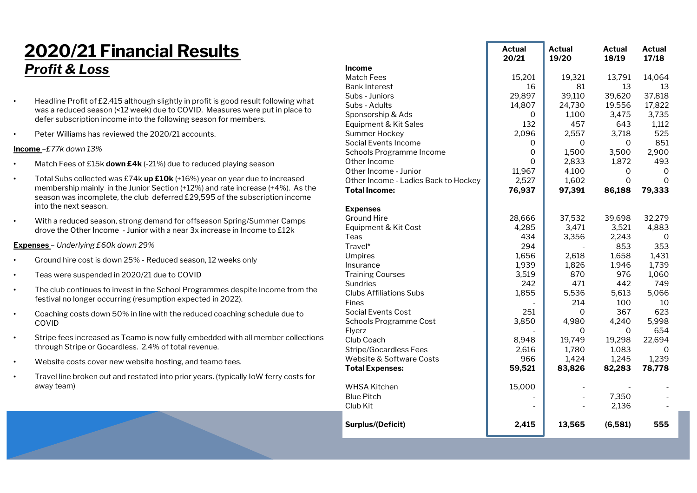### **2020/21 Financial Results** *Profit & Loss*

- Headline Profit of £2,415 although slightly in profit is good result following what was a reduced season (<12 week) due to COVID. Measures were put in place to defer subscription income into the following season for members.
- Peter Williams has reviewed the 2020/21 accounts.

#### **Income** *–£77k down 13%*

- Match Fees of £15k **down £4k** (-21%) due to reduced playing season
- Total Subs collected was £74k **up £10k** (+16%) year on year due to increased membership mainly in the Junior Section (+12%) and rate increase (+4%). As the season was incomplete, the club deferred £29,595 of the subscription income into the next season.
- With a reduced season, strong demand for offseason Spring/Summer Camps drove the Other Income - Junior with a near 3x increase in Income to £12k

#### **Expenses** *– Underlying £60k down 29%*

- Ground hire cost is down 25% Reduced season, 12 weeks only
- Teas were suspended in 2020/21 due to COVID
- The club continues to invest in the School Programmes despite Income from the festival no longer occurring (resumption expected in 2022).
- Coaching costs down 50% in line with the reduced coaching schedule due to COVID
- Stripe fees increased as Teamo is now fully embedded with all member collections through Stripe or Gocardless. 2.4% of total revenue.
- Website costs cover new website hosting, and teamo fees.
- Travel line broken out and restated into prior years. (typically IoW ferry costs for away team)

|                                      | Actual<br>20/21     | Actual<br>19/20 | Actual<br>18/19 | Actual<br>17/18 |
|--------------------------------------|---------------------|-----------------|-----------------|-----------------|
| <b>Income</b>                        |                     |                 |                 |                 |
| <b>Match Fees</b>                    | 15,201              | 19,321          | 13,791          | 14,064          |
| <b>Bank Interest</b>                 | 16                  | 81              | 13              | 13              |
| Subs - Juniors                       | 29,897              | 39,110          | 39,620          | 37,818          |
| Subs - Adults                        | 14,807              | 24,730          | 19,556          | 17,822          |
| Sponsorship & Ads                    | 0                   | 1,100           | 3,475           | 3,735           |
| Equipment & Kit Sales                | 132                 | 457             | 643             | 1,112           |
| <b>Summer Hockey</b>                 | 2,096               | 2,557           | 3,718           | 525             |
| Social Events Income                 | 0                   | 0               | 0               | 851             |
| Schools Programme Income             | $\mathsf{O}\xspace$ | 1,500           | 3,500           | 2,900           |
| Other Income                         | 0                   | 2,833           | 1,872           | 493             |
| Other Income - Junior                | 11,967              | 4,100           | 0               | $\Omega$        |
| Other Income - Ladies Back to Hockey | 2,527               | 1,602           | 0               | 0               |
| <b>Total Income:</b>                 | 76,937              | 97,391          | 86,188          | 79,333          |
| <b>Expenses</b>                      |                     |                 |                 |                 |
| <b>Ground Hire</b>                   | 28,666              | 37,532          | 39,698          | 32,279          |
| Equipment & Kit Cost                 | 4,285               | 3,471           | 3,521           | 4,883           |
| Teas                                 | 434                 | 3,356           | 2,243           | 0               |
| Travel*                              | 294                 |                 | 853             | 353             |
| <b>Umpires</b>                       | 1,656               | 2,618           | 1,658           | 1,431           |
| Insurance                            | 1,939               | 1,826           | 1,946           | 1,739           |
| <b>Training Courses</b>              | 3,519               | 870             | 976             | 1,060           |
| <b>Sundries</b>                      | 242                 | 471             | 442             | 749             |
| <b>Clubs Affiliations Subs</b>       | 1,855               | 5,536           | 5,613           | 5,066           |
| Fines                                |                     | 214             | 100             | 10              |
| <b>Social Events Cost</b>            | 251                 | 0               | 367             | 623             |
| <b>Schools Programme Cost</b>        | 3,850               | 4,980           | 4,240           | 5,998           |
| Flyerz                               |                     | 0               | 0               | 654             |
| Club Coach                           | 8,948               | 19,749          | 19,298          | 22,694          |
| <b>Stripe/Gocardless Fees</b>        | 2,616               | 1,780           | 1,083           | $\Omega$        |
| Website & Software Costs             | 966                 | 1,424           | 1,245           | 1,239           |
| <b>Total Expenses:</b>               | 59,521              | 83,826          | 82,283          | 78,778          |
| <b>WHSA Kitchen</b>                  | 15,000              |                 |                 |                 |
| <b>Blue Pitch</b>                    |                     |                 | 7,350           |                 |
| Club Kit                             |                     |                 | 2,136           |                 |
| <b>Surplus/(Deficit)</b>             | 2,415               | 13,565          | (6,581)         | 555             |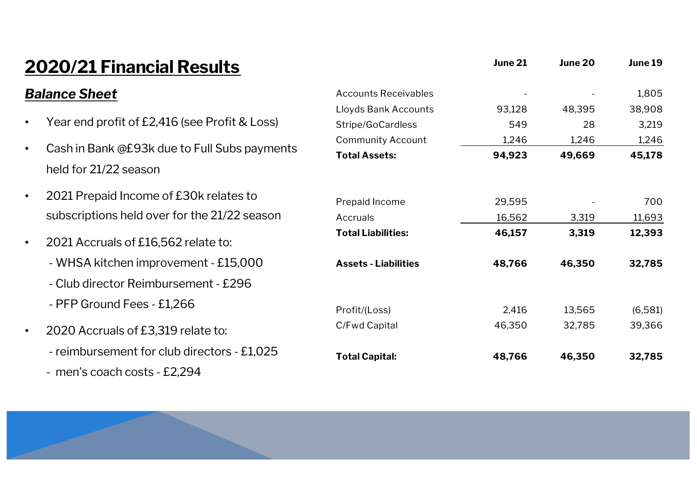### **2020/21 Financial Results** *Balance Sheet* • Year end profit of £2,416 (see Profit & Loss) • Cash in Bank @£93k due to Full Subs payments held for 21/22 season • 2021 Prepaid Income of £30k relates to subscriptions held over for the 21/22 season • 2021 Accruals of £16,562 relate to: - WHSA kitchen improvement - £15,000 - Club director Reimbursement - £296 - PFP Ground Fees - £1,266 • 2020 Accruals of £3,319 relate to: - reimbursement for club directors - £1,025 - men's coach costs - £2,294 **June 21 June 20 June 19** Accounts Receivables - - - - - - - - - - 1,805 Lloyds Bank Accounts 93,128 48,395 38,908 Stripe/GoCardless 549 28 3,219 Community Account 1,246 1,246 1,246 **Total Assets: 94,923 49,669 45,178** Prepaid Income 29,595 - 700 Accruals 16,562 3,319 11,693 **Total Liabilities: 46,157 3,319 12,393 Assets - Liabilities 48,766 46,350 32,785** Profit/(Loss) 2,416 13,565 (6,581) C/Fwd Capital 46,350 32,785 39,366 **Total Capital: 48,766 46,350 32,785**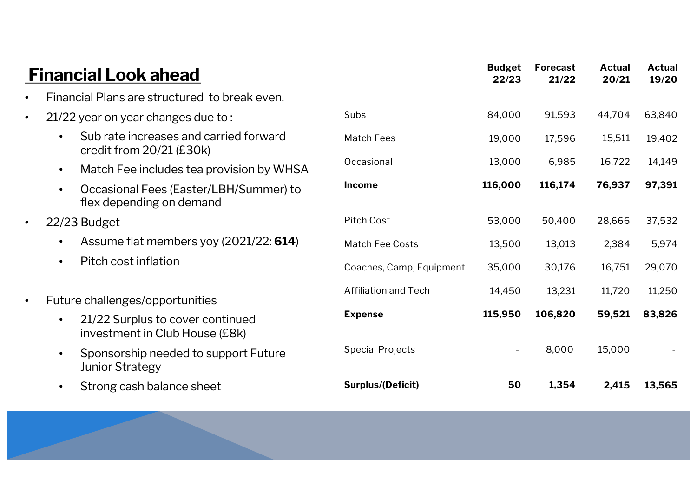|           | <b>Financial Look ahead</b>                                                     |                             | <b>Budget</b><br>22/23 | Forecast<br>21/22 | <b>Actual</b><br>20/21 | <b>Actual</b><br>19/20 |
|-----------|---------------------------------------------------------------------------------|-----------------------------|------------------------|-------------------|------------------------|------------------------|
| $\bullet$ | Financial Plans are structured to break even.                                   |                             |                        |                   |                        |                        |
| $\bullet$ | 21/22 year on year changes due to:                                              | Subs                        | 84,000                 | 91,593            | 44,704                 | 63,840                 |
|           | Sub rate increases and carried forward<br>credit from $20/21$ (£30k)            | <b>Match Fees</b>           | 19,000                 | 17,596            | 15,511                 | 19,402                 |
|           | Match Fee includes tea provision by WHSA<br>$\bullet$                           | Occasional                  | 13,000                 | 6,985             | 16,722                 | 14,149                 |
|           | Occasional Fees (Easter/LBH/Summer) to<br>$\bullet$<br>flex depending on demand | <b>Income</b>               | 116,000                | 116,174           | 76,937                 | 97,391                 |
| $\bullet$ | 22/23 Budget                                                                    | <b>Pitch Cost</b>           | 53,000                 | 50,400            | 28,666                 | 37,532                 |
|           | Assume flat members yoy (2021/22: 614)<br>$\bullet$                             | <b>Match Fee Costs</b>      | 13,500                 | 13,013            | 2,384                  | 5,974                  |
|           | Pitch cost inflation<br>$\bullet$                                               | Coaches, Camp, Equipment    | 35,000                 | 30,176            | 16,751                 | 29,070                 |
| $\bullet$ | Future challenges/opportunities                                                 | <b>Affiliation and Tech</b> | 14,450                 | 13,231            | 11,720                 | 11,250                 |
|           | 21/22 Surplus to cover continued<br>investment in Club House (£8k)              | <b>Expense</b>              | 115,950                | 106,820           | 59,521                 | 83,826                 |
|           | Sponsorship needed to support Future<br><b>Junior Strategy</b>                  | <b>Special Projects</b>     |                        | 8,000             | 15,000                 |                        |
|           | Strong cash balance sheet                                                       | <b>Surplus/(Deficit)</b>    | 50                     | 1,354             | 2,415                  | 13,565                 |